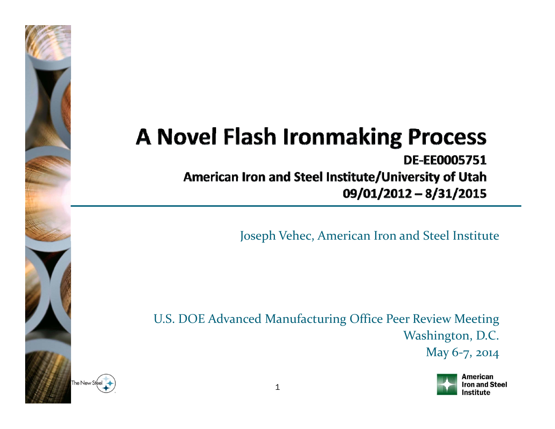## **A Novel Flash Ironmaking Process**

**DE-EE0005751** American Iron and Steel Institute/University of Utah

09/01/2012 - 8/31/2015

Joseph Vehec, American Iron and Steel Institute

U.S. DOE Advanced Manufacturing Office Peer Review Meeting Washington, D.C.

May 6-7, 2014



This presentation does not contain any proprietary, confidential, or otherwise restricted information.

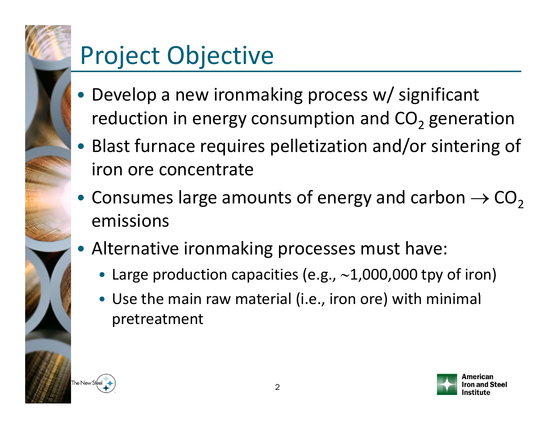# •

# Project Objective

- Develop <sup>a</sup> new ironmaking process w/ significant reduction in energy consumption and CO<sub>2</sub> generation
- Blast furnace requires pelletization and/or sintering of iron ore concentrate
- Consumes large amounts of energy and carbon  $\rightarrow$  CO<sub>2</sub> emissions
- Alternative ironmaking processes must have:
	- Large production capacities (e.g., <sup>∼</sup>1,000,000 tpy of iron)
	- Use the main raw material (i.e., iron ore) with minimal pretreatment



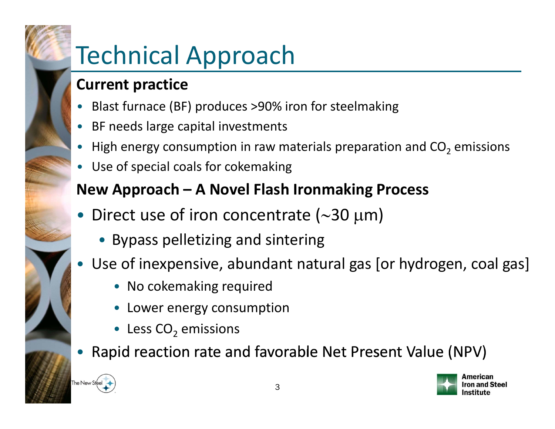# Technical Approach

#### **C i urrent practice**

- Blast furnace (BF) produces >90% iron for steelmaking
- •BF needs large capital investments
- $\bullet$  $\bullet~$  High energy consumption in raw materials preparation and CO<sub>2</sub> emissions
- •Use of special coals for cokemaking

### **New Approach – A Novel Flash Ironmaking Process**

- Direct use of iron concentrate (∼30 μm)
	- Bypass pelletizing and sintering
- • Use of inexpensive, abundant natural gas [or hydrogen, coal gas]
	- No cokemaking required
	- Lower energy consumption
	- Less  $\mathsf{CO}_2$  emissions
- •Rapid reaction rate and favorable Net Present Value (NPV)



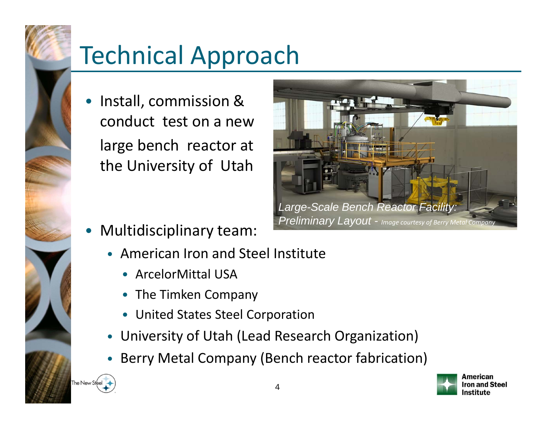

## Technical Approach

• Install, commission & conduct test on a newlarge bench reactor at the University of Utah



- • Multidisciplinary team:
	- American Iron and Steel Institute
		- ArcelorMittal USA
		- The Timken Company
		- United States Steel Corporation
	- $\bullet$ University of Utah (Lead Research Organization)
	- •Berry Metal Company (Bench reactor fabrication)



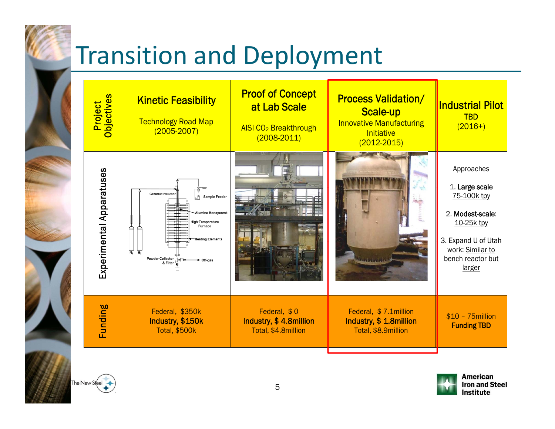# Transition and Deployment





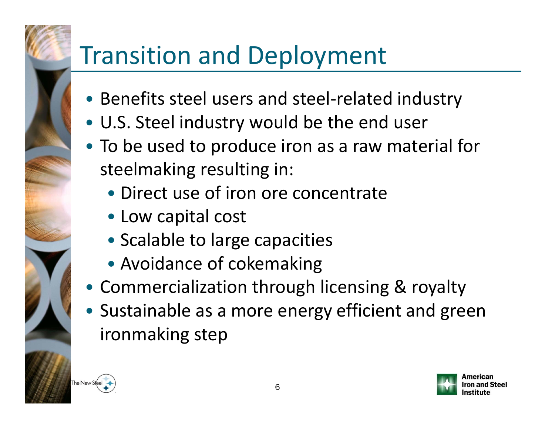# Transition and Deployment

- Benefits steel users and steel‐related industry
- U.S. Steel industry would be the end user
- To be used to produce iron as <sup>a</sup> raw material for steelmaking resulting in:
	- Direct use of iron ore concentrate
	- Low capital cost
	- Scalable to large capacities
	- Avoidance of cokemaking
- Commercialization through licensing & royalty
- Sustainable as <sup>a</sup> more energy efficient and green ironmaking step



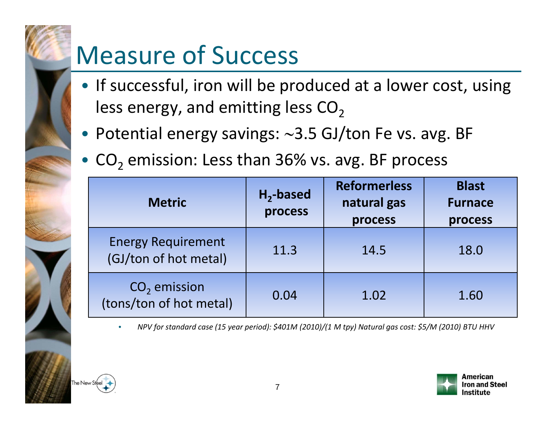# Measure of Success

- If successful, iron will be produced at a lower cost, using less energy, and emitting less CO<sub>2</sub>
- Potential energy savings: <sup>∼</sup>3 5. GJ/ton Fe vs. avg. BF
- $CO<sub>2</sub>$  emission: Less than 36% vs. avg. BF process

| <b>Metric</b>                                      | $H_2$ -based<br>process | <b>Reformerless</b><br>natural gas<br>process | <b>Blast</b><br><b>Furnace</b><br>process |
|----------------------------------------------------|-------------------------|-----------------------------------------------|-------------------------------------------|
| <b>Energy Requirement</b><br>(GJ/ton of hot metal) | 11.3                    | 14.5                                          | 18.0                                      |
| $CO2$ emission<br>(tons/ton of hot metal)          | 0.04                    | 1.02                                          | 1.60                                      |

•NPV for standard case (15 year period): \$401M (2010)/(1 M tpy) Natural gas cost: \$5/M (2010) BTU HHV ••



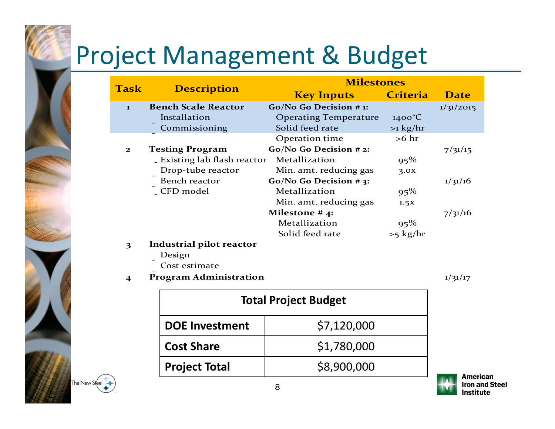# Project Management & Budget

| <b>Task</b>  | <b>Description</b>            | <b>Milestones</b>            |                 |             |
|--------------|-------------------------------|------------------------------|-----------------|-------------|
|              |                               | <b>Key Inputs</b>            | <b>Criteria</b> | <b>Date</b> |
| $\mathbf{I}$ | <b>Bench Scale Reactor</b>    | Go/No Go Decision #1:        |                 | 1/31/2015   |
|              | Installation                  | <b>Operating Temperature</b> | $1400^{\circ}C$ |             |
|              | Commissioning                 | Solid feed rate              | $>1$ kg/hr      |             |
|              |                               | Operation time               | $>6$ hr         |             |
| $\mathbf{z}$ | <b>Testing Program</b>        | Go/No Go Decision #2:        |                 | 7/31/15     |
|              | Existing lab flash reactor    | Metallization                | $95\%$          |             |
|              | Drop-tube reactor             | Min. amt. reducing gas       | 3.0x            |             |
|              | Bench reactor                 | Go/No Go Decision #3:        |                 | 1/31/16     |
|              | _ CFD model                   | Metallization                | $95\%$          |             |
|              |                               | Min. amt. reducing gas       | 1.5X            |             |
|              |                               | Milestone $#4$ :             |                 | 7/31/16     |
|              |                               | Metallization                | $95\%$          |             |
|              |                               | Solid feed rate              | $>5$ kg/hr      |             |
| 3            | Industrial pilot reactor      |                              |                 |             |
|              | Design                        |                              |                 |             |
|              | Cost estimate                 |                              |                 |             |
| 4            | <b>Program Administration</b> |                              |                 | 1/31/17     |
|              | <b>Total Project Budget</b>   |                              |                 |             |

\$1,780,000

| The New Steel |
|---------------|
|               |

**DOE Investment** | \$7,120,000

**Project Total** \$8,900,000

**Cost Share**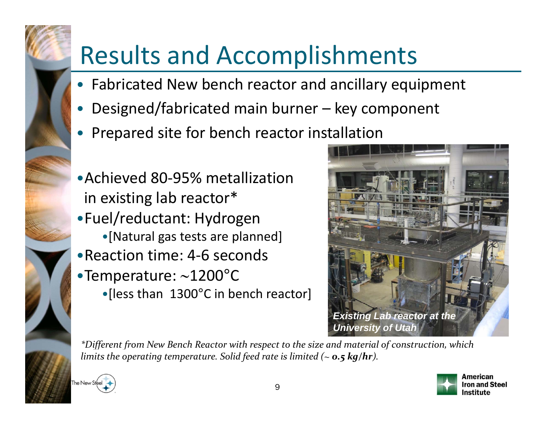# Results and Accomplishments

- Fabricated New bench reactor and ancillary equipment
- •Designed/fabricated main burner – key component
- Prepared site for bench reactor installation
- •Achieved 80‐95% metallization in existing lab reactor\* •Fuel/reductant: Hydrogen •[Natural gas tests are planned] •Reaction time: 4‐6 seconds •Temperature: <sup>∼</sup>1200°C •[less than 1300°C in bench reactor]



\*Different from New Bench Reactor with respect to the size and material of construction, which *limits the operating temperature. Solid feed rate is limited (~ 0.5 kg/hr).*